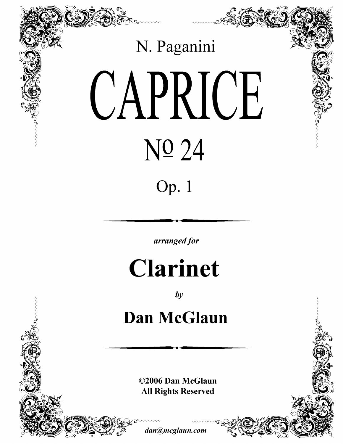

 $by$ 

## **Dan McGlaun**

©2006 Dan McGlaun **All Rights Reserved** 

dan@mcglaun.com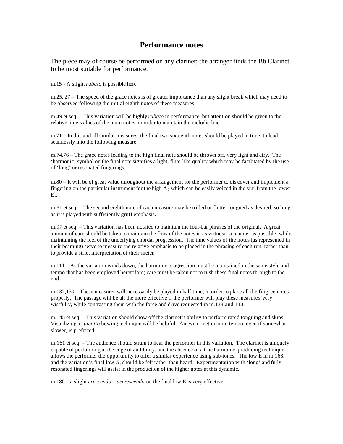## **Performance notes**

The piece may of course be performed on any clarinet; the arranger finds the Bb Clarinet to be most suitable for performance.

m.15 - A slight *rubato* is possible here

m.25, 27 – The speed of the grace notes is of greater importance than any slight break which may need to be observed following the initial eighth notes of these measures.

m.49 et seq. – This variation will be highly *rubato* in performance, but attention should be given to the relative time-values of the main notes, in order to maintain the melodic line.

m.71 – In this and all similar measures, the final two sixteenth notes should be played in time, to lead seamlessly into the following measure.

m.74,76 – The grace notes leading to the high final note should be thrown off, very light and airy. The 'harmonic' symbol on the final note signifies a light, flute-like quality which may be facilitated by the use of 'long' or resonated fingerings.

m.80 – It will be of great value throughout the arrangement for the performer to dis cover and implement a fingering on the particular instrument for the high  $A_6$  which can be easily voiced in the slur from the lower  $E<sub>6</sub>$ .

m.81 et seq. – The second eighth note of each measure may be trilled or flutter-tongued as desired, so long as it is played with sufficiently gruff emphasis.

m.97 et seq. – This variation has been notated to maintain the four-bar phrases of the original. A great amount of care should be taken to maintain the flow of the notes in as virtuosic a manner as possible, while maintaining the feel of the underlying chordal progression. The time values of the notes (as represented in their beaming) serve to measure the relative emphasis to be placed in the phrasing of each run, rather than to provide a strict interpretation of their meter.

m.111 – As the variation winds down, the harmonic progression must be maintained in the same style and tempo that has been employed heretofore; care must be taken not to rush these final notes through to the end.

m.137,139 – These measures will necessarily be played in half time, in order to place all the filigree notes properly. The passage will be all the more effective if the performer will play these measures very wistfully, while contrasting them with the force and drive requested in m.138 and 140.

m.145 et seq. – This variation should show off the clarinet's ability to perform rapid tonguing and skips. Visualizing a *spicatto* bowing technique will be helpful. An even, metronomic tempo, even if somewhat slower, is preferred.

m.161 et seq. – The audience should strain to hear the performer in this variation. The clarinet is uniquely capable of performing at the edge of audibility, and the absence of a true harmonic -producing technique allows the performer the opportunity to offer a similar experience using sub-tones. The low E in m.168, and the variation's final low A, should be felt rather than heard. Experimentation with 'long' and fully resonated fingerings will assist in the production of the higher notes at this dynamic.

m.180 – a slight *crescendo* – *decrescendo* on the final low E is very effective.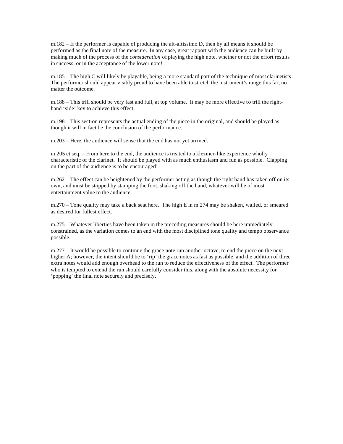m.182 – If the performer is capable of producing the alt-altissimo D, then by all means it should be performed as the final note of the measure. In any case, great rapport with the audience can be built by making much of the process of the *consideration* of playing the high note, whether or not the effort results in success, or in the acceptance of the lower note!

m.185 – The high C will likely be playable, being a more standard part of the technique of most clarinetists. The performer should appear visibly proud to have been able to stretch the instrument's range this far, no matter the outcome.

m.188 – This trill should be very fast and full, at top volume. It may be more effective to trill the righthand 'side' key to achieve this effect.

m.198 – This section represents the actual ending of the piece in the original, and should be played as though it will in fact be the conclusion of the performance.

m.203 – Here, the audience will sense that the end has not yet arrived.

m.205 et seq. – From here to the end, the audience is treated to a klezmer-like experience wholly characteristic of the clarinet. It should be played with as much enthusiasm and fun as possible. Clapping on the part of the audience is to be encouraged!

m.262 – The effect can be heightened by the performer acting as though the right hand has taken off on its own, and must be stopped by stamping the foot, shaking off the hand, whatever will be of most entertainment value to the audience.

m.270 – Tone quality may take a back seat here. The high E in m.274 may be shaken, wailed, or smeared as desired for fullest effect.

m.275 – Whatever liberties have been taken in the preceding measures should be here immediately constrained, as the variation comes to an end with the most disciplined tone quality and tempo observance possible.

m.277 – It would be possible to continue the grace note run another octave, to end the piece on the next higher A; however, the intent should be to 'rip' the grace notes as fast as possible, and the addition of three extra notes would add enough overhead to the run to reduce the effectiveness of the effect. The performer who is tempted to extend the run should carefully consider this, along with the absolute necessity for 'popping' the final note securely and precisely.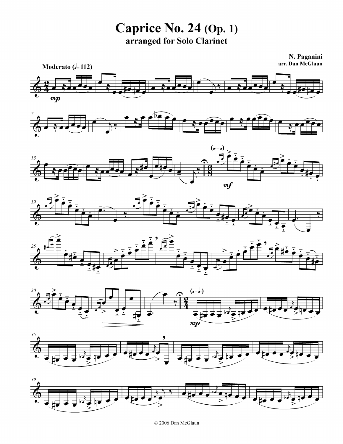**Caprice No. 24 (Op. 1)** arranged for Solo Clarinet

N. Paganini arr. Dan McGlaun

















© 2006 Dan McGlaun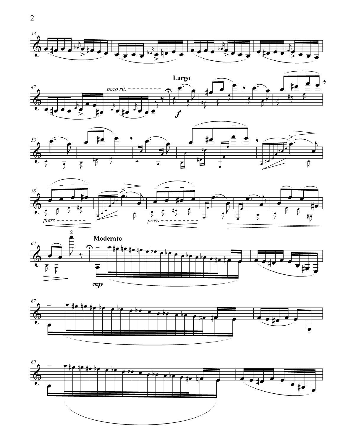











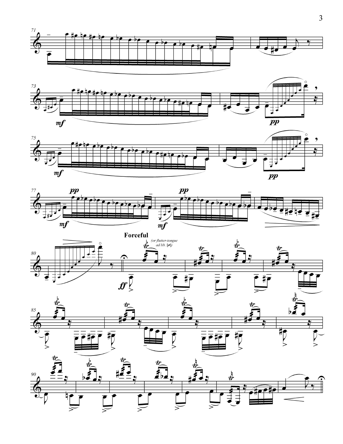











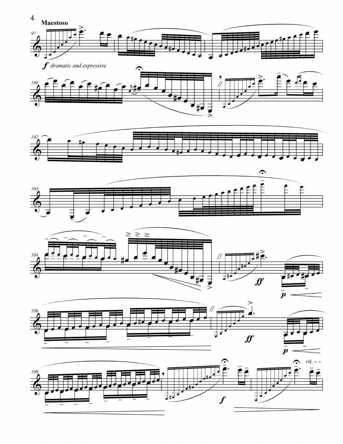











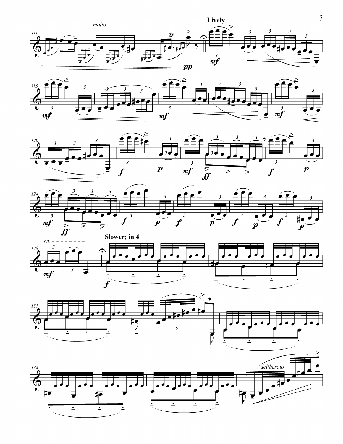











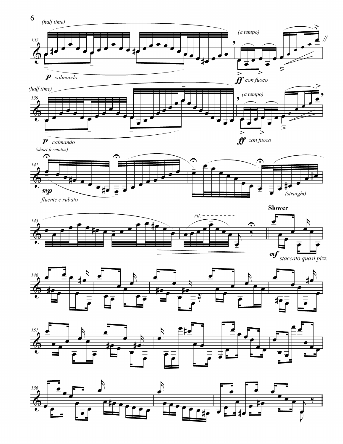

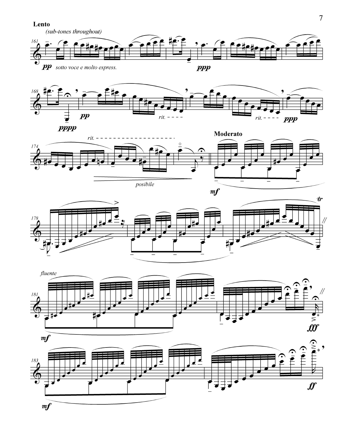Lento











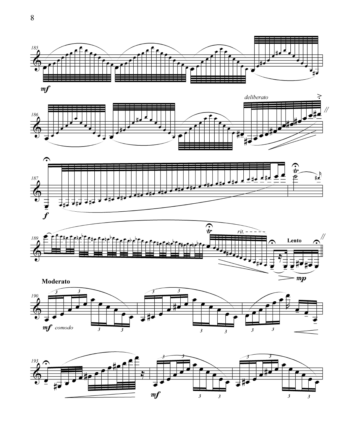











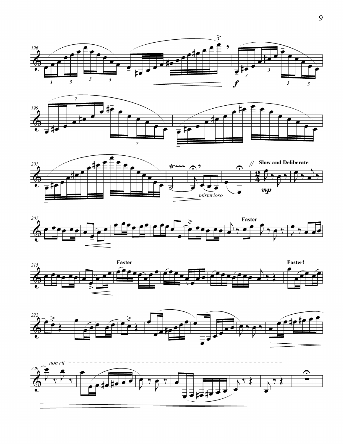